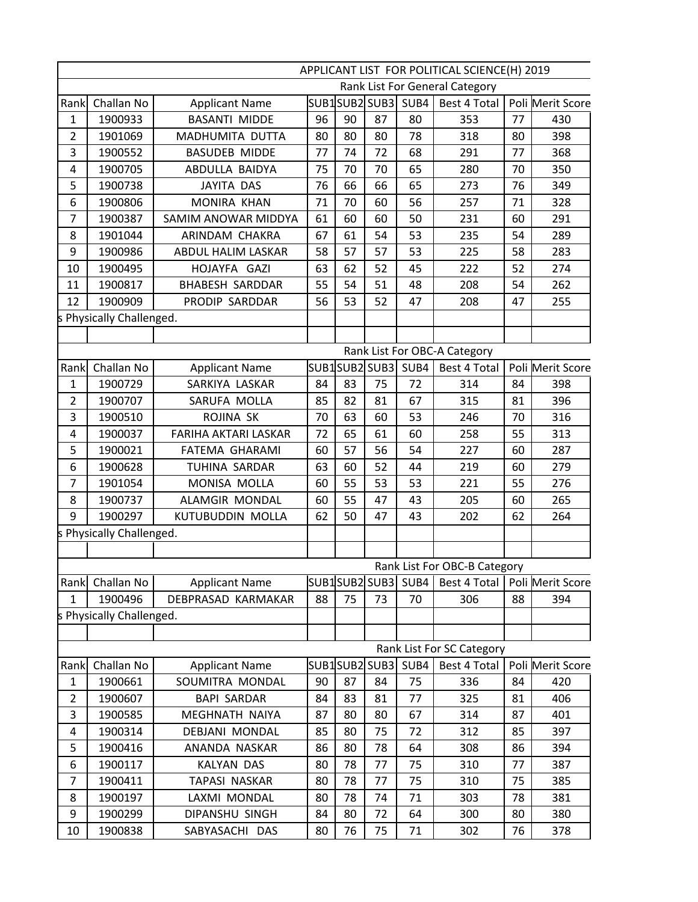|                |                          |                        |    |    |    |                    | APPLICANT LIST FOR POLITICAL SCIENCE(H) 2019 |    |                  |
|----------------|--------------------------|------------------------|----|----|----|--------------------|----------------------------------------------|----|------------------|
|                |                          |                        |    |    |    |                    | Rank List For General Category               |    |                  |
| Rank           | Challan No               | <b>Applicant Name</b>  |    |    |    | SUB1SUB2 SUB3 SUB4 | Best 4 Total                                 |    | Poli Merit Score |
| $\mathbf{1}$   | 1900933                  | <b>BASANTI MIDDE</b>   | 96 | 90 | 87 | 80                 | 353                                          | 77 | 430              |
| $\overline{2}$ | 1901069                  | MADHUMITA DUTTA        | 80 | 80 | 80 | 78                 | 318                                          | 80 | 398              |
| 3              | 1900552                  | <b>BASUDEB MIDDE</b>   | 77 | 74 | 72 | 68                 | 291                                          | 77 | 368              |
| 4              | 1900705                  | ABDULLA BAIDYA         | 75 | 70 | 70 | 65                 | 280                                          | 70 | 350              |
| 5              | 1900738                  | <b>JAYITA DAS</b>      | 76 | 66 | 66 | 65                 | 273                                          | 76 | 349              |
| 6              | 1900806                  | MONIRA KHAN            | 71 | 70 | 60 | 56                 | 257                                          | 71 | 328              |
| 7              | 1900387                  | SAMIM ANOWAR MIDDYA    | 61 | 60 | 60 | 50                 | 231                                          | 60 | 291              |
| 8              | 1901044                  | ARINDAM CHAKRA         | 67 | 61 | 54 | 53                 | 235                                          | 54 | 289              |
| 9              | 1900986                  | ABDUL HALIM LASKAR     | 58 | 57 | 57 | 53                 | 225                                          | 58 | 283              |
| 10             | 1900495                  | HOJAYFA GAZI           | 63 | 62 | 52 | 45                 | 222                                          | 52 | 274              |
| 11             | 1900817                  | <b>BHABESH SARDDAR</b> | 55 | 54 | 51 | 48                 | 208                                          | 54 | 262              |
| 12             | 1900909                  | PRODIP SARDDAR         | 56 | 53 | 52 | 47                 | 208                                          | 47 | 255              |
|                | s Physically Challenged. |                        |    |    |    |                    |                                              |    |                  |
|                |                          |                        |    |    |    |                    |                                              |    |                  |
|                |                          |                        |    |    |    |                    | Rank List For OBC-A Category                 |    |                  |
| Rank           | Challan No               | <b>Applicant Name</b>  |    |    |    | SUB1SUB2 SUB3 SUB4 | Best 4 Total                                 |    | Poli Merit Score |
| $\mathbf{1}$   | 1900729                  | SARKIYA LASKAR         | 84 | 83 | 75 | 72                 | 314                                          | 84 | 398              |
| $\overline{2}$ | 1900707                  | SARUFA MOLLA           | 85 | 82 | 81 | 67                 | 315                                          | 81 | 396              |
| 3              | 1900510                  | ROJINA SK              | 70 | 63 | 60 | 53                 | 246                                          | 70 | 316              |
| 4              | 1900037                  | FARIHA AKTARI LASKAR   | 72 | 65 | 61 | 60                 | 258                                          | 55 | 313              |
| 5              | 1900021                  | <b>FATEMA GHARAMI</b>  | 60 | 57 | 56 | 54                 | 227                                          | 60 | 287              |
| 6              | 1900628                  | TUHINA SARDAR          | 63 | 60 | 52 | 44                 | 219                                          | 60 | 279              |
| 7              | 1901054                  | MONISA MOLLA           | 60 | 55 | 53 | 53                 | 221                                          | 55 | 276              |
| 8              | 1900737                  | ALAMGIR MONDAL         | 60 | 55 | 47 | 43                 | 205                                          | 60 | 265              |
| 9              | 1900297                  | KUTUBUDDIN MOLLA       | 62 | 50 | 47 | 43                 | 202                                          | 62 | 264              |
|                | s Physically Challenged. |                        |    |    |    |                    |                                              |    |                  |
|                |                          |                        |    |    |    |                    |                                              |    |                  |
|                |                          |                        |    |    |    |                    | Rank List For OBC-B Category                 |    |                  |
|                | Rank Challan No          | <b>Applicant Name</b>  |    |    |    | SUB1SUB2 SUB3 SUB4 | Best 4 Total                                 |    | Poli Merit Score |
| $\mathbf{1}$   | 1900496                  | DEBPRASAD KARMAKAR     | 88 | 75 | 73 | 70                 | 306                                          | 88 | 394              |
|                | s Physically Challenged. |                        |    |    |    |                    |                                              |    |                  |
|                |                          |                        |    |    |    |                    |                                              |    |                  |
|                |                          |                        |    |    |    |                    | Rank List For SC Category                    |    |                  |
| Rank           | Challan No               | <b>Applicant Name</b>  |    |    |    | SUB1SUB2 SUB3 SUB4 | Best 4 Total                                 |    | Poli Merit Score |
| $\mathbf{1}$   | 1900661                  | SOUMITRA MONDAL        | 90 | 87 | 84 | 75                 | 336                                          | 84 | 420              |
| 2              | 1900607                  | <b>BAPI SARDAR</b>     | 84 | 83 | 81 | 77                 | 325                                          | 81 | 406              |
| 3              | 1900585                  | MEGHNATH NAIYA         | 87 | 80 | 80 | 67                 | 314                                          | 87 | 401              |
| 4              | 1900314                  | DEBJANI MONDAL         | 85 | 80 | 75 | 72                 | 312                                          | 85 | 397              |
| 5              | 1900416                  | ANANDA NASKAR          | 86 | 80 | 78 | 64                 | 308                                          | 86 | 394              |
| 6              | 1900117                  | KALYAN DAS             | 80 | 78 | 77 | 75                 | 310                                          | 77 | 387              |
| $\overline{7}$ | 1900411                  | TAPASI NASKAR          | 80 | 78 | 77 | 75                 | 310                                          | 75 | 385              |
| 8              | 1900197                  | LAXMI MONDAL           | 80 | 78 | 74 | 71                 | 303                                          | 78 | 381              |
| 9              | 1900299                  | DIPANSHU SINGH         | 84 | 80 | 72 | 64                 | 300                                          | 80 | 380              |
|                | 1900838                  | SABYASACHI DAS         | 80 | 76 | 75 | 71                 | 302                                          | 76 | 378              |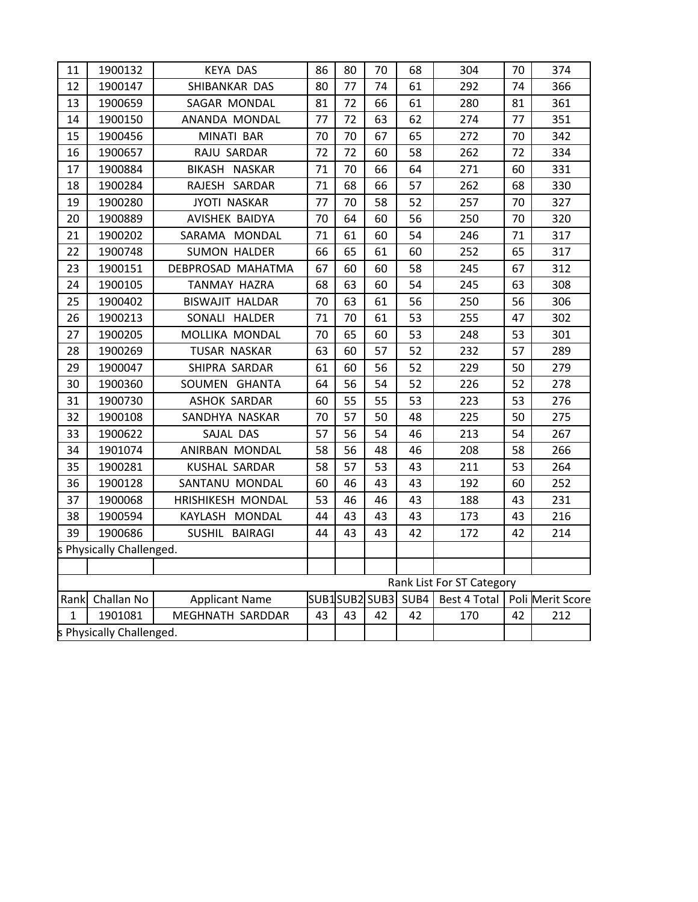| 11                       | 1900132                  | <b>KEYA DAS</b>        | 86 | 80 | 70 | 68                 | 304                       | 70 | 374              |
|--------------------------|--------------------------|------------------------|----|----|----|--------------------|---------------------------|----|------------------|
| 12                       | 1900147                  | SHIBANKAR DAS          | 80 | 77 | 74 | 61                 | 292                       | 74 | 366              |
| 13                       | 1900659                  | SAGAR MONDAL           | 81 | 72 | 66 | 61                 | 280                       | 81 | 361              |
| 14                       | 1900150                  | ANANDA MONDAL          | 77 | 72 | 63 | 62                 | 274                       | 77 | 351              |
| 15                       | 1900456                  | MINATI BAR             | 70 | 70 | 67 | 65                 | 272                       | 70 | 342              |
| 16                       | 1900657                  | RAJU SARDAR            | 72 | 72 | 60 | 58                 | 262                       | 72 | 334              |
| 17                       | 1900884                  | BIKASH NASKAR          | 71 | 70 | 66 | 64                 | 271                       | 60 | 331              |
| 18                       | 1900284                  | RAJESH SARDAR          | 71 | 68 | 66 | 57                 | 262                       | 68 | 330              |
| 19                       | 1900280                  | <b>JYOTI NASKAR</b>    | 77 | 70 | 58 | 52                 | 257                       | 70 | 327              |
| 20                       | 1900889                  | AVISHEK BAIDYA         | 70 | 64 | 60 | 56                 | 250                       | 70 | 320              |
| 21                       | 1900202                  | SARAMA MONDAL          | 71 | 61 | 60 | 54                 | 246                       | 71 | 317              |
| 22                       | 1900748                  | <b>SUMON HALDER</b>    | 66 | 65 | 61 | 60                 | 252                       | 65 | 317              |
| 23                       | 1900151                  | DEBPROSAD MAHATMA      | 67 | 60 | 60 | 58                 | 245                       | 67 | 312              |
| 24                       | 1900105                  | TANMAY HAZRA           | 68 | 63 | 60 | 54                 | 245                       | 63 | 308              |
| 25                       | 1900402                  | <b>BISWAJIT HALDAR</b> | 70 | 63 | 61 | 56                 | 250                       | 56 | 306              |
| 26                       | 1900213                  | SONALI HALDER          | 71 | 70 | 61 | 53                 | 255                       | 47 | 302              |
| 27                       | 1900205                  | MOLLIKA MONDAL         | 70 | 65 | 60 | 53                 | 248                       | 53 | 301              |
| 28                       | 1900269                  | <b>TUSAR NASKAR</b>    | 63 | 60 | 57 | 52                 | 232                       | 57 | 289              |
| 29                       | 1900047                  | SHIPRA SARDAR          | 61 | 60 | 56 | 52                 | 229                       | 50 | 279              |
| 30                       | 1900360                  | SOUMEN GHANTA          | 64 | 56 | 54 | 52                 | 226                       | 52 | 278              |
| 31                       | 1900730                  | <b>ASHOK SARDAR</b>    | 60 | 55 | 55 | 53                 | 223                       | 53 | 276              |
| 32                       | 1900108                  | SANDHYA NASKAR         | 70 | 57 | 50 | 48                 | 225                       | 50 | 275              |
| 33                       | 1900622                  | SAJAL DAS              | 57 | 56 | 54 | 46                 | 213                       | 54 | 267              |
| 34                       | 1901074                  | ANIRBAN MONDAL         | 58 | 56 | 48 | 46                 | 208                       | 58 | 266              |
| 35                       | 1900281                  | KUSHAL SARDAR          | 58 | 57 | 53 | 43                 | 211                       | 53 | 264              |
| 36                       | 1900128                  | SANTANU MONDAL         | 60 | 46 | 43 | 43                 | 192                       | 60 | 252              |
| 37                       | 1900068                  | HRISHIKESH MONDAL      | 53 | 46 | 46 | 43                 | 188                       | 43 | 231              |
| 38                       | 1900594                  | KAYLASH MONDAL         | 44 | 43 | 43 | 43                 | 173                       | 43 | 216              |
| 39                       | 1900686                  | SUSHIL BAIRAGI         | 44 | 43 | 43 | 42                 | 172                       | 42 | 214              |
| s Physically Challenged. |                          |                        |    |    |    |                    |                           |    |                  |
|                          |                          |                        |    |    |    |                    |                           |    |                  |
|                          |                          |                        |    |    |    |                    | Rank List For ST Category |    |                  |
|                          | Rank Challan No          | <b>Applicant Name</b>  |    |    |    | SUB1SUB2 SUB3 SUB4 | Best 4 Total              |    | Poli Merit Score |
| $\mathbf{1}$             | 1901081                  | MEGHNATH SARDDAR       | 43 | 43 | 42 | 42                 | 170                       | 42 | 212              |
|                          | s Physically Challenged. |                        |    |    |    |                    |                           |    |                  |
|                          |                          |                        |    |    |    |                    |                           |    |                  |